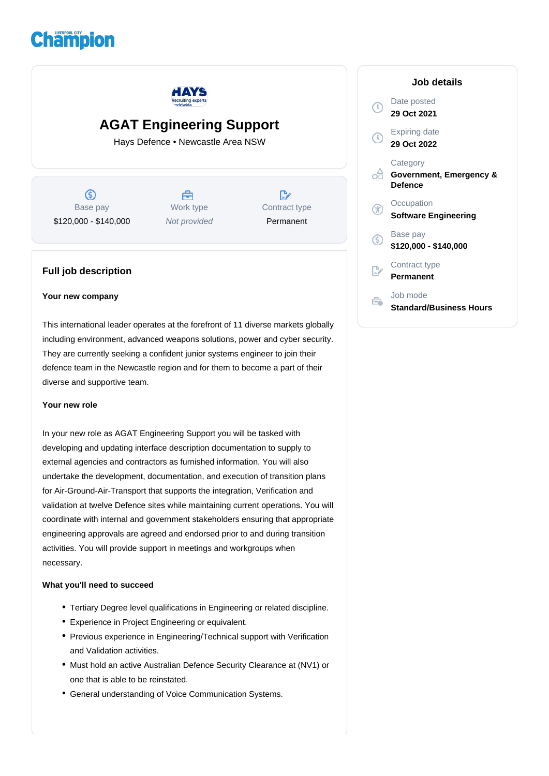



# **AGAT Engineering Support**

Hays Defence • Newcastle Area NSW

 $\circledS$ Base pay \$120,000 - \$140,000

曲 Work type Not provided

 $\mathbb{D}$ Contract type Permanent

### **Full job description**

#### **Your new company**

This international leader operates at the forefront of 11 diverse markets globally including environment, advanced weapons solutions, power and cyber security. They are currently seeking a confident junior systems engineer to join their defence team in the Newcastle region and for them to become a part of their diverse and supportive team.

#### **Your new role**

In your new role as AGAT Engineering Support you will be tasked with developing and updating interface description documentation to supply to external agencies and contractors as furnished information. You will also undertake the development, documentation, and execution of transition plans for Air-Ground-Air-Transport that supports the integration, Verification and validation at twelve Defence sites while maintaining current operations. You will coordinate with internal and government stakeholders ensuring that appropriate engineering approvals are agreed and endorsed prior to and during transition activities. You will provide support in meetings and workgroups when necessary.

#### **What you'll need to succeed**

- Tertiary Degree level qualifications in Engineering or related discipline.
- Experience in Project Engineering or equivalent.
- Previous experience in Engineering/Technical support with Verification and Validation activities.
- Must hold an active Australian Defence Security Clearance at (NV1) or one that is able to be reinstated.
- General understanding of Voice Communication Systems.